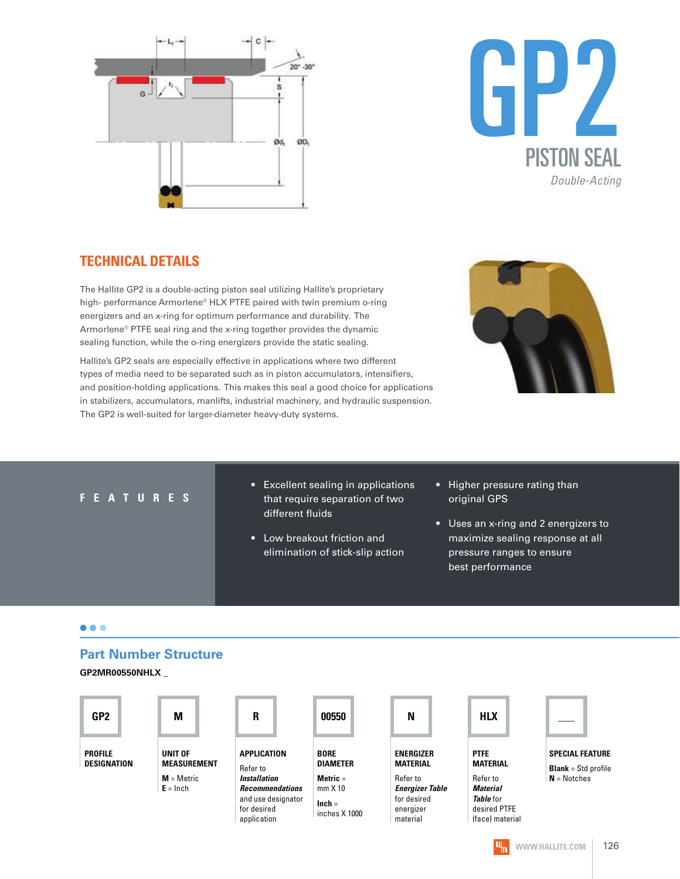



#### **TECHNICAL DETAILS**

The Hallite GP2 is a double-acting piston seal utilizing Hallite's proprietary high- performance Armorlene® HLX PTFE paired with twin premium o-ring energizers and an x-ring for optimum performance and durability. The Armorlene® PTFE seal ring and the x-ring together provides the dynamic sealing function, while the o-ring energizers provide the static sealing.

Hallite's GP2 seals are especially effective in applications where two different types of media need to be separated such as in piston accumulators, intensifiers, and position-holding applications. This makes this seal a good choice for applications in stabilizers, accumulators, manlifts, industrial machinery, and hydraulic suspension. The GP2 is well-suited for larger-diameter heavy-duty systems.



#### **F E A T U R E S**

- Excellent sealing in applications that require separation of two different fluids
- Low breakout friction and elimination of stick-slip action
- Higher pressure rating than original GPS
- Uses an x-ring and 2 energizers to maximize sealing response at all pressure ranges to ensure best performance

#### $\bullet\bullet\bullet$

#### **Part Number Structure**

**GP2MR00550NHLX \_**





**SPECIAL FEATURE Blank** = Std profile **N** = Notches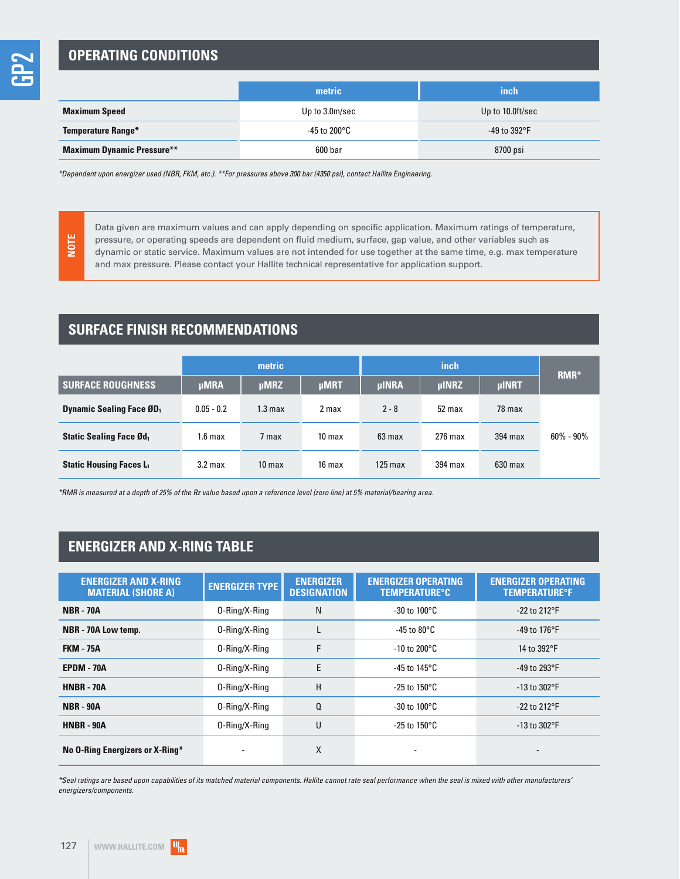**NOTE**

### **OPERATING CONDITIONS**

|                                   | metric         | inch                 |  |  |
|-----------------------------------|----------------|----------------------|--|--|
| <b>Maximum Speed</b>              | Up to 3.0m/sec | Up to 10.0ft/sec     |  |  |
| <b>Temperature Range*</b>         | -45 to 200°C   | -49 to $392^\circ$ F |  |  |
| <b>Maximum Dynamic Pressure**</b> | 600 bar        | 8700 psi             |  |  |

\*Dependent upon energizer used (NBR, FKM, etc.). \*\*For pressures above 300 bar (4350 psi), contact Hallite Engineering.

Data given are maximum values and can apply depending on specific application. Maximum ratings of temperature, pressure, or operating speeds are dependent on fluid medium, surface, gap value, and other variables such as dynamic or static service. Maximum values are not intended for use together at the same time, e.g. max temperature and max pressure. Please contact your Hallite technical representative for application support.

### **SURFACE FINISH RECOMMENDATIONS**

|                                             | metric             |                    |                   |                   | RMR*         |              |               |
|---------------------------------------------|--------------------|--------------------|-------------------|-------------------|--------------|--------------|---------------|
| <b>SURFACE ROUGHNESS</b>                    | <b>µMRA</b>        | <b>µMRZ</b>        | <b>µMRT</b>       | <b>µINRA</b>      | <b>µINRZ</b> | <b>µINRT</b> |               |
| <b>Dynamic Sealing Face ØD</b> <sub>1</sub> | $0.05 - 0.2$       | 1.3 <sub>max</sub> | 2 max             | $2 - 8$           | 52 max       | 78 max       |               |
| <b>Static Sealing Face Ød</b>               | 1.6 <sub>max</sub> | 7 max              | 10 <sub>max</sub> | 63 max            | $276$ max    | $394$ max    | $60\% - 90\%$ |
| <b>Static Housing Faces L1</b>              | 3.2 <sub>max</sub> | 10 <sub>max</sub>  | 16 max            | $125 \text{ max}$ | 394 max      | $630$ max    |               |

\*RMR is measured at a depth of 25% of the Rz value based upon a reference level (zero line) at 5% material/bearing area.

## **ENERGIZER AND X-RING TABLE**

| <b>ENERGIZER AND X-RING</b><br><b>MATERIAL (SHORE A)</b> | <b>ENERGIZER TYPE</b> | <b>ENERGIZER</b><br><b>DESIGNATION</b> | <b>ENERGIZER OPERATING</b><br><b>TEMPERATURE°C</b> | <b>ENERGIZER OPERATING</b><br><b>TEMPERATURE<sup>o</sup>F</b> |
|----------------------------------------------------------|-----------------------|----------------------------------------|----------------------------------------------------|---------------------------------------------------------------|
| <b>NBR - 70A</b>                                         | 0-Ring/X-Ring         | N                                      | $-30$ to $100^{\circ}$ C                           | $-22$ to $212^{\circ}F$                                       |
| NBR - 70A Low temp.                                      | 0-Ring/X-Ring         |                                        | -45 to 80°C                                        | -49 to 176 $\mathrm{^{\circ}F}$                               |
| <b>FKM - 75A</b>                                         | 0-Ring/X-Ring         | F                                      | $-10$ to 200 $^{\circ}$ C                          | 14 to 392°F                                                   |
| EPDM - 70A                                               | 0-Ring/X-Ring         | E                                      | -45 to 145°C                                       | -49 to 293 $\degree$ F                                        |
| <b>HNBR - 70A</b>                                        | 0-Ring/X-Ring         | H                                      | -25 to 150 $^{\circ}$ C                            | $-13$ to $302^{\circ}$ F                                      |
| <b>NBR - 90A</b>                                         | 0-Ring/X-Ring         | $\Omega$                               | -30 to 100 $^{\circ}$ C                            | $-22$ to $212^{\circ}F$                                       |
| <b>HNBR - 90A</b>                                        | 0-Ring/X-Ring         | U                                      | -25 to 150 $^{\circ}$ C                            | $-13$ to $302^{\circ}F$                                       |
| No O-Ring Energizers or X-Ring*                          |                       | X                                      |                                                    |                                                               |

\*Seal ratings are based upon capabilities of its matched material components. Hallite cannot rate seal performance when the seal is mixed with other manufacturers' energizers/components.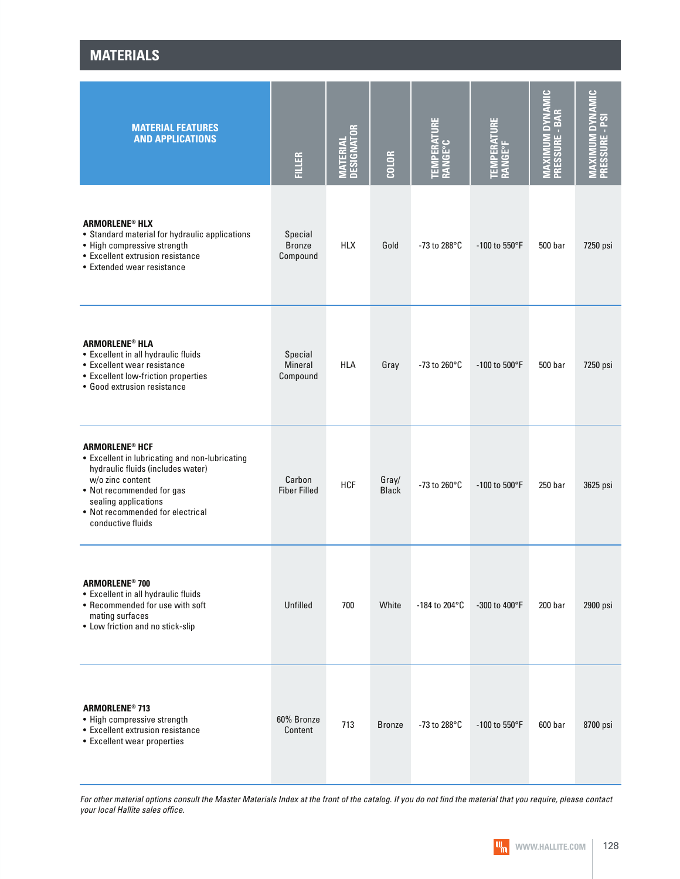| <b>MATERIALS</b>                                                                                                                                                                                                                                          |                                       |                                |                       |                                |                                |                                                                         |                                             |
|-----------------------------------------------------------------------------------------------------------------------------------------------------------------------------------------------------------------------------------------------------------|---------------------------------------|--------------------------------|-----------------------|--------------------------------|--------------------------------|-------------------------------------------------------------------------|---------------------------------------------|
| <b>MATERIAL FEATURES</b><br><b>AND APPLICATIONS</b>                                                                                                                                                                                                       | <b>FILLER</b>                         | <b>MATERIAL<br/>DESIGNATOR</b> | <b>COLOR</b>          | <b>TEMPERATURE<br/>RANGE°C</b> | <b>TEMPERATURE<br/>RANGE°F</b> | $\frac{c}{\Sigma}$<br><b>MUM DYNA</b><br>PRESSURE - BAR<br><b>MAXII</b> | <b>DYNAMIC</b><br>PRESSURE - PSI<br>MAXIMUM |
| <b>ARMORLENE<sup>®</sup> HLX</b><br>• Standard material for hydraulic applications<br>• High compressive strength<br>• Excellent extrusion resistance<br>• Extended wear resistance                                                                       | Special<br><b>Bronze</b><br>Compound  | <b>HLX</b>                     | Gold                  | -73 to 288 $^{\circ}$ C        | $-100$ to 550°F                | 500 bar                                                                 | 7250 psi                                    |
| <b>ARMORLENE<sup>®</sup> HLA</b><br>• Excellent in all hydraulic fluids<br>• Excellent wear resistance<br>• Excellent low-friction properties<br>• Good extrusion resistance                                                                              | Special<br><b>Mineral</b><br>Compound | <b>HLA</b>                     | Gray                  | $-73$ to 260 $^{\circ}$ C      | -100 to 500°F                  | 500 bar                                                                 | 7250 psi                                    |
| <b>ARMORLENE<sup>®</sup> HCF</b><br>• Excellent in lubricating and non-lubricating<br>hydraulic fluids (includes water)<br>w/o zinc content<br>• Not recommended for gas<br>sealing applications<br>• Not recommended for electrical<br>conductive fluids | Carbon<br><b>Fiber Filled</b>         | <b>HCF</b>                     | Gray/<br><b>Black</b> | -73 to 260°C                   | -100 to 500°F                  | 250 bar                                                                 | 3625 psi                                    |
| <b>ARMORLENE<sup>®</sup> 700</b><br>• Excellent in all hydraulic fluids<br>• Recommended for use with soft<br>mating surfaces<br>• Low friction and no stick-slip                                                                                         | Unfilled                              | 700                            | White                 | -184 to 204 $^{\circ}$ C       | -300 to 400°F                  | 200 <sub>bar</sub>                                                      | 2900 psi                                    |
| <b>ARMORLENE® 713</b><br>• High compressive strength<br>• Excellent extrusion resistance<br>• Excellent wear properties                                                                                                                                   | 60% Bronze<br>Content                 | 713                            | <b>Bronze</b>         | -73 to 288 $^{\circ}$ C        | $-100$ to 550°F                | 600 <sub>bar</sub>                                                      | 8700 psi                                    |

For other material options consult the Master Materials Index at the front of the catalog. If you do not find the material that you require, please contact your local Hallite sales office.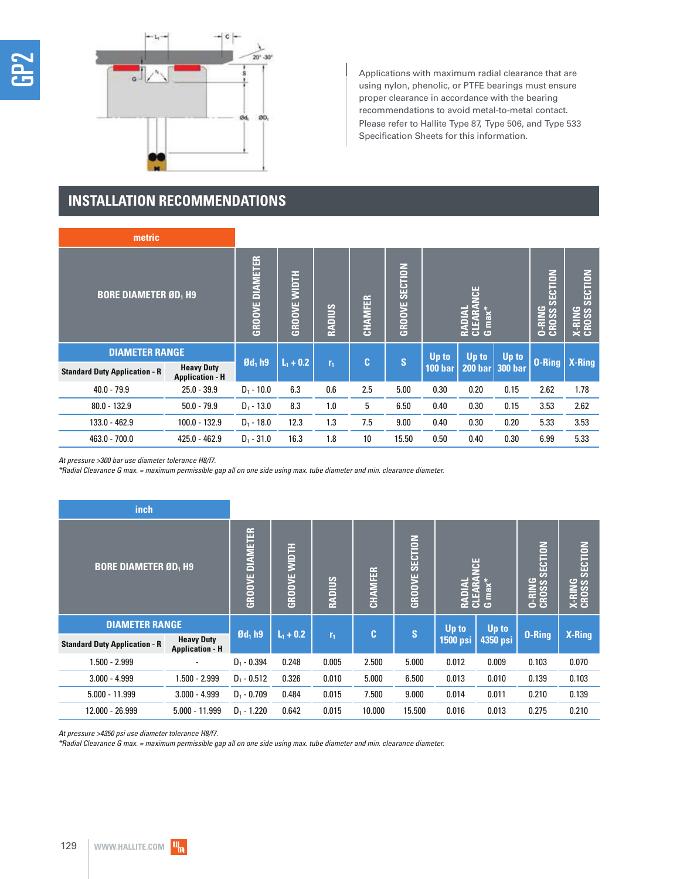

Applications with maximum radial clearance that are using nylon, phenolic, or PTFE bearings must ensure proper clearance in accordance with the bearing recommendations to avoid metal-to-metal contact. Please refer to Hallite Type 87, Type 506, and Type 533 Specification Sheets for this information.

### **INSTALLATION RECOMMENDATIONS**

| metric                               |                                             |                        |                     |                |         |                   |                                          |       |                                   |                            |        |
|--------------------------------------|---------------------------------------------|------------------------|---------------------|----------------|---------|-------------------|------------------------------------------|-------|-----------------------------------|----------------------------|--------|
| <b>BORE DIAMETER ØD, H9</b>          |                                             | <b>GROOVE DIAMETER</b> | <b>GROOVE WIDTH</b> | <b>RADIUS</b>  | CHAMFER | SECTION<br>GROOVE | ğ<br><b>RADIAL<br/>CLEARA<br/>G max*</b> |       | <b>SECTION</b><br>O-RING<br>CROSS | SECTION<br>X-RING<br>CROSS |        |
| <b>DIAMETER RANGE</b>                |                                             |                        |                     |                |         | S<br>$\mathbf{c}$ | Up to                                    | Up to | Up to                             |                            |        |
| <b>Standard Duty Application - R</b> | <b>Heavy Duty</b><br><b>Application - H</b> | $\mathfrak{gd}_1$ h9   | $L_1 + 0.2$         | r <sub>1</sub> |         |                   | 100 <sub>bar</sub>                       |       | 200 bar 300 bar                   | <b>O-Ring</b>              | X-Ring |
| $40.0 - 79.9$                        | $25.0 - 39.9$                               | $D_1 - 10.0$           | 6.3                 | 0.6            | 2.5     | 5.00              | 0.30                                     | 0.20  | 0.15                              | 2.62                       | 1.78   |
| $80.0 - 132.9$                       | $50.0 - 79.9$                               | $D_1 - 13.0$           | 8.3                 | 1.0            | 5       | 6.50              | 0.40                                     | 0.30  | 0.15                              | 3.53                       | 2.62   |
| 133.0 - 462.9                        | 100.0 - 132.9                               | $D_1 - 18.0$           | 12.3                | 1.3            | 7.5     | 9.00              | 0.40                                     | 0.30  | 0.20                              | 5.33                       | 3.53   |
| $463.0 - 700.0$                      | $425.0 - 462.9$                             | $D_1 - 31.0$           | 16.3                | 1.8            | 10      | 15.50             | 0.50                                     | 0.40  | 0.30                              | 6.99                       | 5.33   |

At pressure >300 bar use diameter tolerance H8/f7.

\*Radial Clearance G max. = maximum permissible gap all on one side using max. tube diameter and min. clearance diameter.

| inch                                 |                                             |                        |                     |                |                |                          |                        |                                    |                                    |                          |
|--------------------------------------|---------------------------------------------|------------------------|---------------------|----------------|----------------|--------------------------|------------------------|------------------------------------|------------------------------------|--------------------------|
| <b>BORE DIAMETER ØD, H9</b>          |                                             | <b>GROOVE DIAMETER</b> | <b>GROOVE WIDTH</b> | RADIUS         | <b>CHAMFER</b> | SECTION<br><b>GROOVE</b> | <u>ian</u><br>=<br>≩ ਹ | $\mathbf{G}$ max <sup>*</sup><br>É | SECTION<br><b>O-RING</b><br>CROSS: | SECTION<br><b>X-RING</b> |
| <b>DIAMETER RANGE</b>                |                                             | $\mathfrak{gd}_1$ h9   | $L_1 + 0.2$         |                | C              | S                        | Up to                  | <b>Up to</b>                       | $0 -$ Ring                         | X-Ring                   |
| <b>Standard Duty Application - R</b> | <b>Heavy Duty</b><br><b>Application - H</b> |                        |                     | r <sub>1</sub> |                |                          | <b>1500 psi</b>        | 4350 psi                           |                                    |                          |
| 1.500 - 2.999                        |                                             | $D_1 - 0.394$          | 0.248               | 0.005          | 2.500          | 5.000                    | 0.012                  | 0.009                              | 0.103                              | 0.070                    |
| $3.000 - 4.999$                      | $.500 - 2.999$                              | $D_1 - 0.512$          | 0.326               | 0.010          | 5.000          | 6.500                    | 0.013                  | 0.010                              | 0.139                              | 0.103                    |
| $5.000 - 11.999$                     | $3.000 - 4.999$                             | $D_1 - 0.709$          | 0.484               | 0.015          | 7.500          | 9.000                    | 0.014                  | 0.011                              | 0.210                              | 0.139                    |
| 12.000 - 26.999                      | $5.000 - 11.999$                            | $D_1 - 1.220$          | 0.642               | 0.015          | 10.000         | 15.500                   | 0.016                  | 0.013                              | 0.275                              | 0.210                    |

At pressure >4350 psi use diameter tolerance H8/f7.

\*Radial Clearance G max. = maximum permissible gap all on one side using max. tube diameter and min. clearance diameter.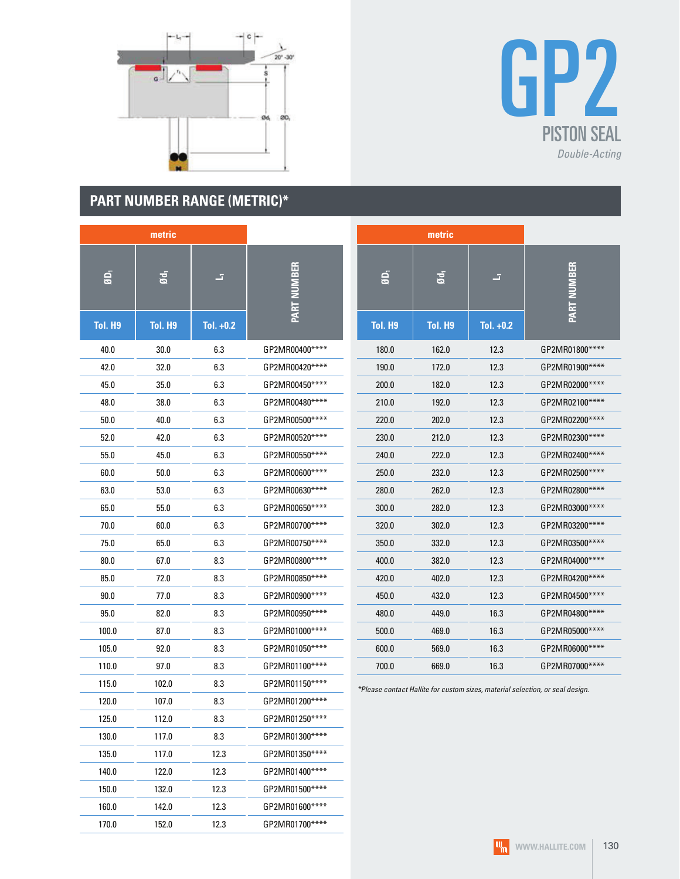

## **PART NUMBER RANGE (METRIC)\***

160.0 142.0 12.3 GP2MR01600\*\*\*\* 170.0 152.0 12.3 GP2MR01700\*\*\*\*



|                | metric          |             |                    |         | metric         |             |                                                                               |
|----------------|-----------------|-------------|--------------------|---------|----------------|-------------|-------------------------------------------------------------------------------|
| $\overline{a}$ | Ød <sub>1</sub> | E.          | <b>PART NUMBER</b> | ØD,     | Ød,            | z,          | <b>PART NUMBER</b>                                                            |
| <b>Tol. H9</b> | <b>Tol. H9</b>  | Tol. $+0.2$ |                    | Tol. H9 | <b>Tol. H9</b> | Tol. $+0.2$ |                                                                               |
| 40.0           | 30.0            | 6.3         | GP2MR00400****     | 180.0   | 162.0          | 12.3        | GP2MR01800 ****                                                               |
| 42.0           | 32.0            | 6.3         | GP2MR00420****     | 190.0   | 172.0          | 12.3        | GP2MR01900****                                                                |
| 45.0           | 35.0            | 6.3         | GP2MR00450****     | 200.0   | 182.0          | 12.3        | GP2MR02000****                                                                |
| 48.0           | 38.0            | 6.3         | GP2MR00480****     | 210.0   | 192.0          | 12.3        | GP2MR02100****                                                                |
| 50.0           | 40.0            | 6.3         | GP2MR00500****     | 220.0   | 202.0          | 12.3        | GP2MR02200****                                                                |
| 52.0           | 42.0            | 6.3         | GP2MR00520****     | 230.0   | 212.0          | 12.3        | GP2MR02300****                                                                |
| 55.0           | 45.0            | 6.3         | GP2MR00550****     | 240.0   | 222.0          | 12.3        | GP2MR02400****                                                                |
| 60.0           | 50.0            | 6.3         | GP2MR00600****     | 250.0   | 232.0          | 12.3        | GP2MR02500****                                                                |
| 63.0           | 53.0            | 6.3         | GP2MR00630****     | 280.0   | 262.0          | 12.3        | GP2MR02800 ****                                                               |
| 65.0           | 55.0            | 6.3         | GP2MR00650****     | 300.0   | 282.0          | 12.3        | GP2MR03000****                                                                |
| 70.0           | 60.0            | 6.3         | GP2MR00700****     | 320.0   | 302.0          | 12.3        | GP2MR03200****                                                                |
| 75.0           | 65.0            | 6.3         | GP2MR00750****     | 350.0   | 332.0          | 12.3        | GP2MR03500****                                                                |
| 80.0           | 67.0            | 8.3         | GP2MR00800****     | 400.0   | 382.0          | 12.3        | GP2MR04000****                                                                |
| 85.0           | 72.0            | 8.3         | GP2MR00850****     | 420.0   | 402.0          | 12.3        | GP2MR04200****                                                                |
| 90.0           | 77.0            | 8.3         | GP2MR00900****     | 450.0   | 432.0          | 12.3        | GP2MR04500****                                                                |
| 95.0           | 82.0            | 8.3         | GP2MR00950****     | 480.0   | 449.0          | 16.3        | GP2MR04800****                                                                |
| 100.0          | 87.0            | 8.3         | GP2MR01000****     | 500.0   | 469.0          | 16.3        | GP2MR05000****                                                                |
| 105.0          | 92.0            | 8.3         | GP2MR01050****     | 600.0   | 569.0          | 16.3        | GP2MR06000****                                                                |
| 110.0          | 97.0            | 8.3         | GP2MR01100****     | 700.0   | 669.0          | 16.3        | GP2MR07000****                                                                |
| 115.0          | 102.0           | 8.3         | GP2MR01150****     |         |                |             | *Please contact Hallite for custom sizes, material selection, or seal design. |
| 120.0          | 107.0           | 8.3         | GP2MR01200****     |         |                |             |                                                                               |
| 125.0          | 112.0           | 8.3         | GP2MR01250****     |         |                |             |                                                                               |
| 130.0          | 117.0           | 8.3         | GP2MR01300****     |         |                |             |                                                                               |
| 135.0          | 117.0           | 12.3        | GP2MR01350****     |         |                |             |                                                                               |
| 140.0          | 122.0           | 12.3        | GP2MR01400****     |         |                |             |                                                                               |
| 150.0          | 132.0           | 12.3        | GP2MR01500****     |         |                |             |                                                                               |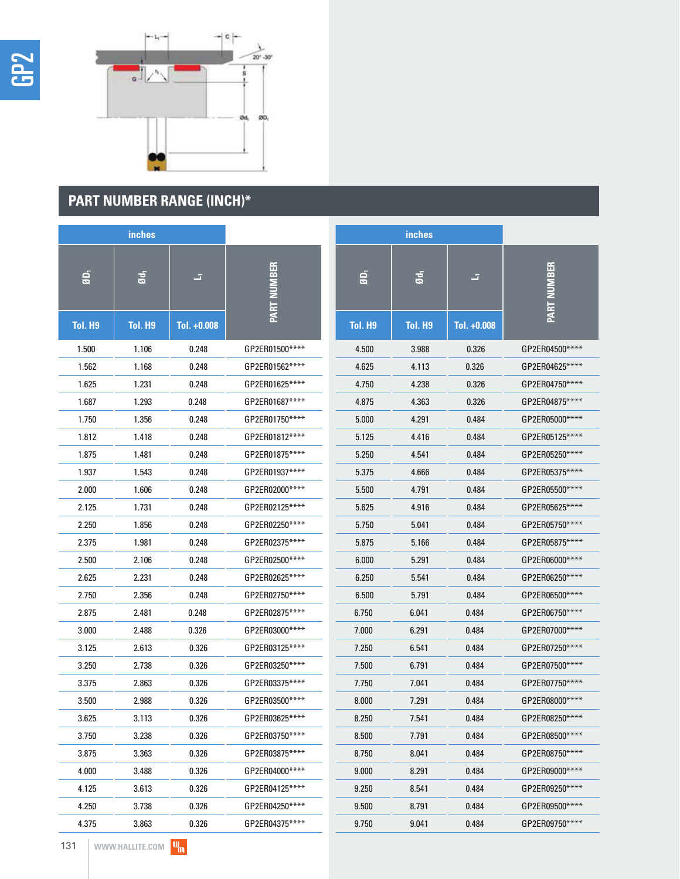



# **PART NUMBER RANGE (INCH)\***

|         | inches          |             |                    |                         | inches  |             |                    |
|---------|-----------------|-------------|--------------------|-------------------------|---------|-------------|--------------------|
| ØD,     | Ød <sub>1</sub> | E.          | <b>PART NUMBER</b> | $\overline{\mathbf{g}}$ | Ød,     | F.          | <b>PART NUMBER</b> |
| Tol. H9 | <b>Tol. H9</b>  | Tol. +0.008 |                    | <b>Tol. H9</b>          | Tol. H9 | Tol. +0.008 |                    |
| 1.500   | 1.106           | 0.248       | GP2ER01500****     | 4.500                   | 3.988   | 0.326       | GP2ER04500****     |
| 1.562   | 1.168           | 0.248       | GP2ER01562****     | 4.625                   | 4.113   | 0.326       | GP2ER04625****     |
| 1.625   | 1.231           | 0.248       | GP2ER01625****     | 4.750                   | 4.238   | 0.326       | GP2ER04750****     |
| 1.687   | 1.293           | 0.248       | GP2ER01687****     | 4.875                   | 4.363   | 0.326       | GP2ER04875****     |
| 1.750   | 1.356           | 0.248       | GP2ER01750****     | 5.000                   | 4.291   | 0.484       | GP2ER05000****     |
| 1.812   | 1.418           | 0.248       | GP2ER01812****     | 5.125                   | 4.416   | 0.484       | GP2ER05125****     |
| 1.875   | 1.481           | 0.248       | GP2ER01875****     | 5.250                   | 4.541   | 0.484       | GP2ER05250****     |
| 1.937   | 1.543           | 0.248       | GP2ER01937****     | 5.375                   | 4.666   | 0.484       | GP2ER05375****     |
| 2.000   | 1.606           | 0.248       | GP2ER02000****     | 5.500                   | 4.791   | 0.484       | GP2ER05500****     |
| 2.125   | 1.731           | 0.248       | GP2ER02125****     | 5.625                   | 4.916   | 0.484       | GP2ER05625****     |
| 2.250   | 1.856           | 0.248       | GP2ER02250****     | 5.750                   | 5.041   | 0.484       | GP2ER05750****     |
| 2.375   | 1.981           | 0.248       | GP2ER02375****     | 5.875                   | 5.166   | 0.484       | GP2ER05875 ****    |
| 2.500   | 2.106           | 0.248       | GP2ER02500****     | 6.000                   | 5.291   | 0.484       | GP2ER06000****     |
| 2.625   | 2.231           | 0.248       | GP2ER02625 ****    | 6.250                   | 5.541   | 0.484       | GP2ER06250****     |
| 2.750   | 2.356           | 0.248       | GP2ER02750****     | 6.500                   | 5.791   | 0.484       | GP2ER06500****     |
| 2.875   | 2.481           | 0.248       | GP2ER02875****     | 6.750                   | 6.041   | 0.484       | GP2ER06750****     |
| 3.000   | 2.488           | 0.326       | GP2ER03000****     | 7.000                   | 6.291   | 0.484       | GP2ER07000****     |
| 3.125   | 2.613           | 0.326       | GP2ER03125****     | 7.250                   | 6.541   | 0.484       | GP2ER07250****     |
| 3.250   | 2.738           | 0.326       | GP2ER03250****     | 7.500                   | 6.791   | 0.484       | GP2ER07500****     |
| 3.375   | 2.863           | 0.326       | GP2ER03375****     | 7.750                   | 7.041   | 0.484       | GP2ER07750****     |
| 3.500   | 2.988           | 0.326       | GP2ER03500****     | 8.000                   | 7.291   | 0.484       | GP2ER08000****     |
| 3.625   | 3.113           | 0.326       | GP2ER03625****     | 8.250                   | 7.541   | 0.484       | GP2ER08250****     |
| 3.750   | 3.238           | 0.326       | GP2ER03750****     | 8.500                   | 7.791   | 0.484       | GP2ER08500****     |
| 3.875   | 3.363           | 0.326       | GP2ER03875****     | 8.750                   | 8.041   | 0.484       | GP2ER08750****     |
| 4.000   | 3.488           | 0.326       | GP2ER04000****     | 9.000                   | 8.291   | 0.484       | GP2ER09000****     |
| 4.125   | 3.613           | 0.326       | GP2ER04125****     | 9.250                   | 8.541   | 0.484       | GP2ER09250****     |
| 4.250   | 3.738           | 0.326       | GP2ER04250****     | 9.500                   | 8.791   | 0.484       | GP2ER09500****     |
| 4.375   | 3.863           | 0.326       | GP2ER04375****     | 9.750                   | 9.041   | 0.484       | GP2ER09750****     |